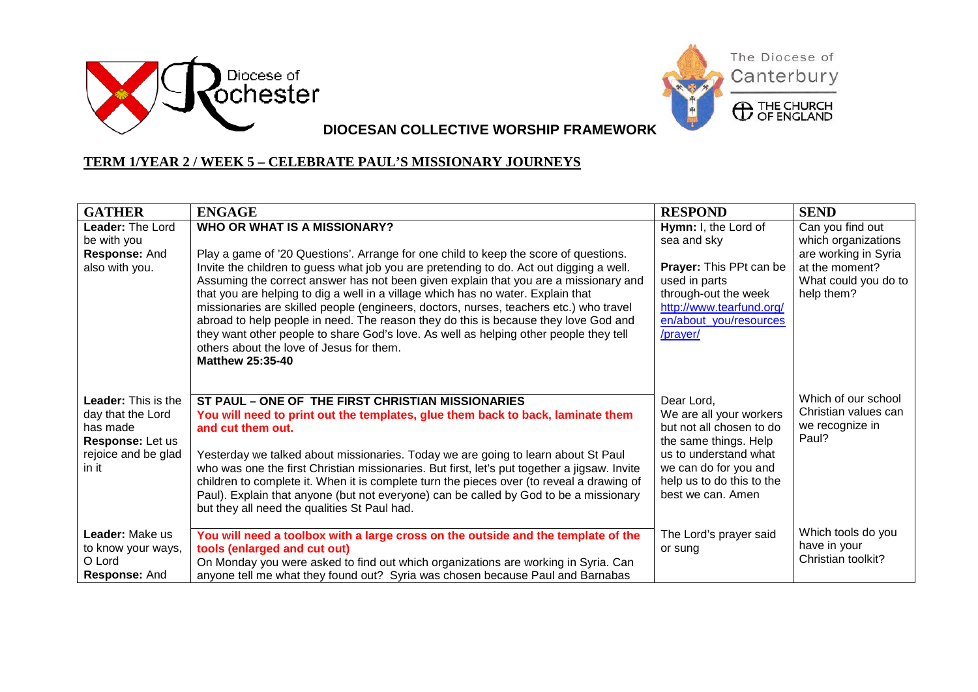



**DIOCESAN COLLECTIVE WORSHIP FRAMEWORK**

## **TERM 1/YEAR 2 / WEEK 5 – CELEBRATE PAUL'S MISSIONARY JOURNEYS**

| <b>GATHER</b>                                                                                                   | <b>ENGAGE</b>                                                                                                                                                                                                                                                                                                                                                                                                                                                                                                                                                                                                                                                                                                                                       | <b>RESPOND</b>                                                                                                                                                                                 | <b>SEND</b>                                                                                                             |
|-----------------------------------------------------------------------------------------------------------------|-----------------------------------------------------------------------------------------------------------------------------------------------------------------------------------------------------------------------------------------------------------------------------------------------------------------------------------------------------------------------------------------------------------------------------------------------------------------------------------------------------------------------------------------------------------------------------------------------------------------------------------------------------------------------------------------------------------------------------------------------------|------------------------------------------------------------------------------------------------------------------------------------------------------------------------------------------------|-------------------------------------------------------------------------------------------------------------------------|
| <b>Leader: The Lord</b><br>be with you<br>Response: And<br>also with you.                                       | <b>WHO OR WHAT IS A MISSIONARY?</b><br>Play a game of '20 Questions'. Arrange for one child to keep the score of questions.<br>Invite the children to guess what job you are pretending to do. Act out digging a well.<br>Assuming the correct answer has not been given explain that you are a missionary and<br>that you are helping to dig a well in a village which has no water. Explain that<br>missionaries are skilled people (engineers, doctors, nurses, teachers etc.) who travel<br>abroad to help people in need. The reason they do this is because they love God and<br>they want other people to share God's love. As well as helping other people they tell<br>others about the love of Jesus for them.<br><b>Matthew 25:35-40</b> | Hymn: I, the Lord of<br>sea and sky<br><b>Prayer: This PPt can be</b><br>used in parts<br>through-out the week<br>http://www.tearfund.org/<br>en/about you/resources<br>/prayer/               | Can you find out<br>which organizations<br>are working in Syria<br>at the moment?<br>What could you do to<br>help them? |
| <b>Leader:</b> This is the<br>day that the Lord<br>has made<br>Response: Let us<br>rejoice and be glad<br>in it | ST PAUL - ONE OF THE FIRST CHRISTIAN MISSIONARIES<br>You will need to print out the templates, glue them back to back, laminate them<br>and cut them out.<br>Yesterday we talked about missionaries. Today we are going to learn about St Paul<br>who was one the first Christian missionaries. But first, let's put together a jigsaw. Invite<br>children to complete it. When it is complete turn the pieces over (to reveal a drawing of<br>Paul). Explain that anyone (but not everyone) can be called by God to be a missionary<br>but they all need the qualities St Paul had.                                                                                                                                                                | Dear Lord,<br>We are all your workers<br>but not all chosen to do<br>the same things. Help<br>us to understand what<br>we can do for you and<br>help us to do this to the<br>best we can. Amen | Which of our school<br>Christian values can<br>we recognize in<br>Paul?                                                 |
| Leader: Make us<br>to know your ways,<br>O Lord<br>Response: And                                                | You will need a toolbox with a large cross on the outside and the template of the<br>tools (enlarged and cut out)<br>On Monday you were asked to find out which organizations are working in Syria. Can<br>anyone tell me what they found out? Syria was chosen because Paul and Barnabas                                                                                                                                                                                                                                                                                                                                                                                                                                                           | The Lord's prayer said<br>or sung                                                                                                                                                              | Which tools do you<br>have in your<br>Christian toolkit?                                                                |